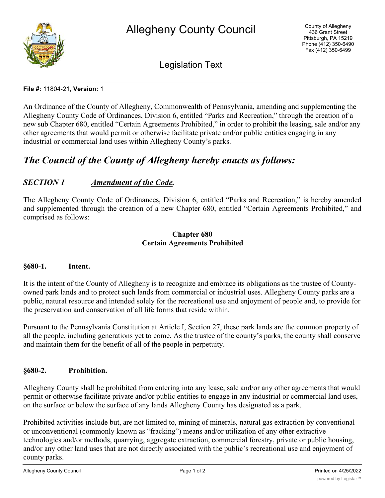

Legislation Text

#### **File #:** 11804-21, **Version:** 1

An Ordinance of the County of Allegheny, Commonwealth of Pennsylvania, amending and supplementing the Allegheny County Code of Ordinances, Division 6, entitled "Parks and Recreation," through the creation of a new sub Chapter 680, entitled "Certain Agreements Prohibited," in order to prohibit the leasing, sale and/or any other agreements that would permit or otherwise facilitate private and/or public entities engaging in any industrial or commercial land uses within Allegheny County's parks.

# *The Council of the County of Allegheny hereby enacts as follows:*

# *SECTION 1 Amendment of the Code.*

The Allegheny County Code of Ordinances, Division 6, entitled "Parks and Recreation," is hereby amended and supplemented through the creation of a new Chapter 680, entitled "Certain Agreements Prohibited," and comprised as follows:

#### **Chapter 680 Certain Agreements Prohibited**

#### **§680-1. Intent.**

It is the intent of the County of Allegheny is to recognize and embrace its obligations as the trustee of Countyowned park lands and to protect such lands from commercial or industrial uses. Allegheny County parks are a public, natural resource and intended solely for the recreational use and enjoyment of people and, to provide for the preservation and conservation of all life forms that reside within.

Pursuant to the Pennsylvania Constitution at Article I, Section 27, these park lands are the common property of all the people, including generations yet to come. As the trustee of the county's parks, the county shall conserve and maintain them for the benefit of all of the people in perpetuity.

#### **§680-2. Prohibition.**

Allegheny County shall be prohibited from entering into any lease, sale and/or any other agreements that would permit or otherwise facilitate private and/or public entities to engage in any industrial or commercial land uses, on the surface or below the surface of any lands Allegheny County has designated as a park.

Prohibited activities include but, are not limited to, mining of minerals, natural gas extraction by conventional or unconventional (commonly known as "fracking") means and/or utilization of any other extractive technologies and/or methods, quarrying, aggregate extraction, commercial forestry, private or public housing, and/or any other land uses that are not directly associated with the public's recreational use and enjoyment of county parks.